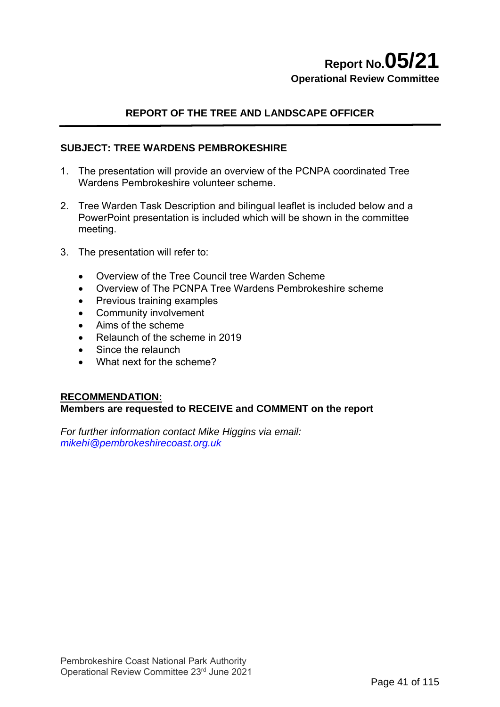# **Report No.05/21 Operational Review Committee**

# **REPORT OF THE TREE AND LANDSCAPE OFFICER**

## **SUBJECT: TREE WARDENS PEMBROKESHIRE**

- 1. The presentation will provide an overview of the PCNPA coordinated Tree Wardens Pembrokeshire volunteer scheme.
- 2. Tree Warden Task Description and bilingual leaflet is included below and a PowerPoint presentation is included which will be shown in the committee meeting.
- 3. The presentation will refer to:
	- Overview of the Tree Council tree Warden Scheme
	- Overview of The PCNPA Tree Wardens Pembrokeshire scheme
	- Previous training examples
	- Community involvement
	- Aims of the scheme
	- Relaunch of the scheme in 2019
	- Since the relaunch
	- What next for the scheme?

#### **RECOMMENDATION:**

#### **Members are requested to RECEIVE and COMMENT on the report**

*For further information contact Mike Higgins via email: [mikehi@pembrokeshirecoast.org.uk](mailto:mikehi@pembrokeshirecoast.org.uk)*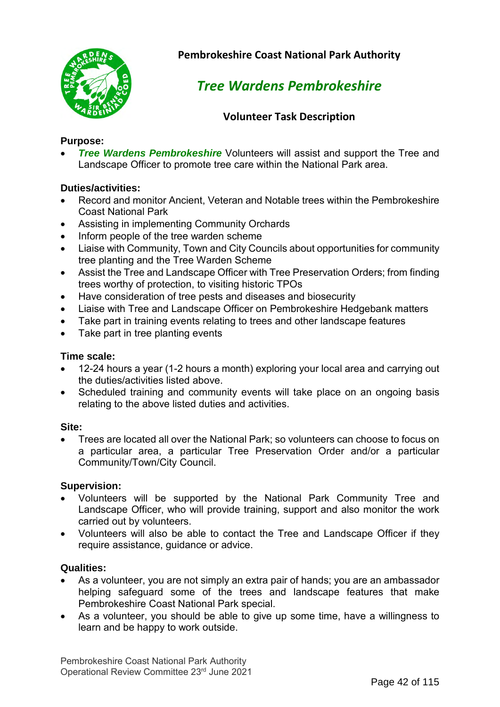

**Pembrokeshire Coast National Park Authority**

# *Tree Wardens Pembrokeshire*

# **Volunteer Task Description**

# **Purpose:**

**Tree Wardens Pembrokeshire** Volunteers will assist and support the Tree and Landscape Officer to promote tree care within the National Park area.

# **Duties/activities:**

- Record and monitor Ancient, Veteran and Notable trees within the Pembrokeshire Coast National Park
- Assisting in implementing Community Orchards
- Inform people of the tree warden scheme
- Liaise with Community, Town and City Councils about opportunities for community tree planting and the Tree Warden Scheme
- Assist the Tree and Landscape Officer with Tree Preservation Orders; from finding trees worthy of protection, to visiting historic TPOs
- Have consideration of tree pests and diseases and biosecurity
- Liaise with Tree and Landscape Officer on Pembrokeshire Hedgebank matters
- Take part in training events relating to trees and other landscape features
- Take part in tree planting events

## **Time scale:**

- 12-24 hours a year (1-2 hours a month) exploring your local area and carrying out the duties/activities listed above.
- Scheduled training and community events will take place on an ongoing basis relating to the above listed duties and activities.

#### **Site:**

• Trees are located all over the National Park; so volunteers can choose to focus on a particular area, a particular Tree Preservation Order and/or a particular Community/Town/City Council.

## **Supervision:**

- Volunteers will be supported by the National Park Community Tree and Landscape Officer, who will provide training, support and also monitor the work carried out by volunteers.
- Volunteers will also be able to contact the Tree and Landscape Officer if they require assistance, guidance or advice.

## **Qualities:**

- As a volunteer, you are not simply an extra pair of hands; you are an ambassador helping safeguard some of the trees and landscape features that make Pembrokeshire Coast National Park special.
- As a volunteer, you should be able to give up some time, have a willingness to learn and be happy to work outside.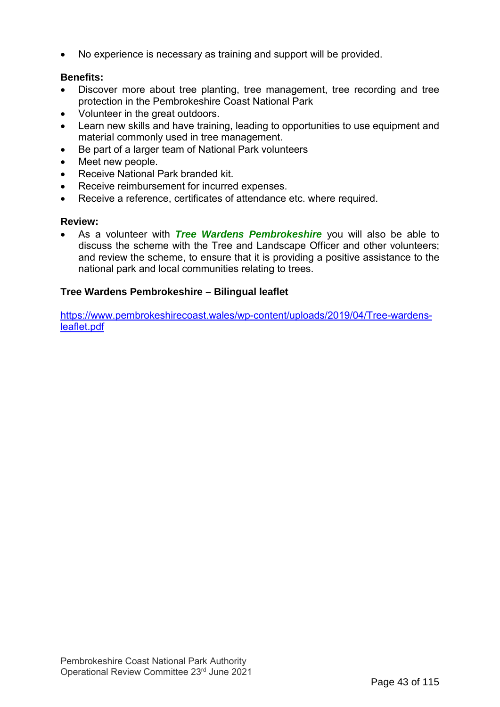• No experience is necessary as training and support will be provided.

## **Benefits:**

- Discover more about tree planting, tree management, tree recording and tree protection in the Pembrokeshire Coast National Park
- Volunteer in the great outdoors.
- Learn new skills and have training, leading to opportunities to use equipment and material commonly used in tree management.
- Be part of a larger team of National Park volunteers
- Meet new people.
- Receive National Park branded kit.
- Receive reimbursement for incurred expenses.
- Receive a reference, certificates of attendance etc. where required.

#### **Review:**

• As a volunteer with *Tree Wardens Pembrokeshire* you will also be able to discuss the scheme with the Tree and Landscape Officer and other volunteers; and review the scheme, to ensure that it is providing a positive assistance to the national park and local communities relating to trees.

### **Tree Wardens Pembrokeshire – Bilingual leaflet**

[https://www.pembrokeshirecoast.wales/wp-content/uploads/2019/04/Tree-wardens](https://www.pembrokeshirecoast.wales/wp-content/uploads/2019/04/Tree-wardens-leaflet.pdf)[leaflet.pdf](https://www.pembrokeshirecoast.wales/wp-content/uploads/2019/04/Tree-wardens-leaflet.pdf)